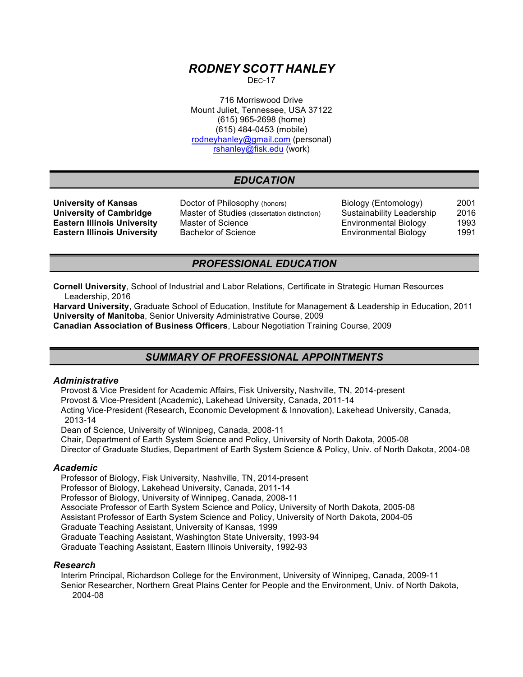# *RODNEY SCOTT HANLEY*

 $DFC-17$ 

716 Morriswood Drive Mount Juliet, Tennessee, USA 37122 (615) 965-2698 (home) (615) 484-0453 (mobile) rodneyhanley@gmail.com (personal) rshanley@fisk.edu (work)

# *EDUCATION*

**University of Kansas Doctor of Philosophy (honors)** Biology (Entomology) 2001 **University of Cambridge** Master of Studies (dissertation distinction) Sustainability Leadership 2016 **Eastern Illinois University** Master of Science **Network Environmental Biology** 1993 **Eastern Illinois University** Bachelor of Science **Environmental Biology** 1991

# *PROFESSIONAL EDUCATION*

**Cornell University**, School of Industrial and Labor Relations, Certificate in Strategic Human Resources Leadership, 2016

**Harvard University**, Graduate School of Education, Institute for Management & Leadership in Education, 2011 **University of Manitoba**, Senior University Administrative Course, 2009

**Canadian Association of Business Officers**, Labour Negotiation Training Course, 2009

# *SUMMARY OF PROFESSIONAL APPOINTMENTS*

## *Administrative*

Provost & Vice President for Academic Affairs, Fisk University, Nashville, TN, 2014-present Provost & Vice-President (Academic), Lakehead University, Canada, 2011-14 Acting Vice-President (Research, Economic Development & Innovation), Lakehead University, Canada, 2013-14

Dean of Science, University of Winnipeg, Canada, 2008-11

Chair, Department of Earth System Science and Policy, University of North Dakota, 2005-08

Director of Graduate Studies, Department of Earth System Science & Policy, Univ. of North Dakota, 2004-08

#### *Academic*

Professor of Biology, Fisk University, Nashville, TN, 2014-present Professor of Biology, Lakehead University, Canada, 2011-14 Professor of Biology, University of Winnipeg, Canada, 2008-11 Associate Professor of Earth System Science and Policy, University of North Dakota, 2005-08 Assistant Professor of Earth System Science and Policy, University of North Dakota, 2004-05 Graduate Teaching Assistant, University of Kansas, 1999 Graduate Teaching Assistant, Washington State University, 1993-94 Graduate Teaching Assistant, Eastern Illinois University, 1992-93

#### *Research*

Interim Principal, Richardson College for the Environment, University of Winnipeg, Canada, 2009-11 Senior Researcher, Northern Great Plains Center for People and the Environment, Univ. of North Dakota, 2004-08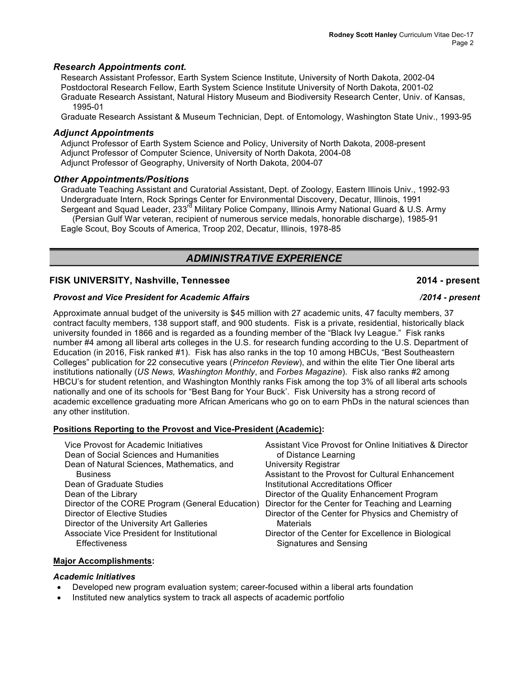## *Research Appointments cont.*

Research Assistant Professor, Earth System Science Institute, University of North Dakota, 2002-04 Postdoctoral Research Fellow, Earth System Science Institute University of North Dakota, 2001-02 Graduate Research Assistant, Natural History Museum and Biodiversity Research Center, Univ. of Kansas, 1995-01

Graduate Research Assistant & Museum Technician, Dept. of Entomology, Washington State Univ., 1993-95

#### *Adjunct Appointments*

Adjunct Professor of Earth System Science and Policy, University of North Dakota, 2008-present Adjunct Professor of Computer Science, University of North Dakota, 2004-08 Adjunct Professor of Geography, University of North Dakota, 2004-07

## *Other Appointments/Positions*

Graduate Teaching Assistant and Curatorial Assistant, Dept. of Zoology, Eastern Illinois Univ., 1992-93 Undergraduate Intern, Rock Springs Center for Environmental Discovery, Decatur, Illinois, 1991 Sergeant and Squad Leader, 233<sup>rd</sup> Military Police Company, Illinois Army National Guard & U.S. Army (Persian Gulf War veteran, recipient of numerous service medals, honorable discharge), 1985-91 Eagle Scout, Boy Scouts of America, Troop 202, Decatur, Illinois, 1978-85

# *ADMINISTRATIVE EXPERIENCE*

## **FISK UNIVERSITY, Nashville, Tennessee 2014 - present**

#### *Provost and Vice President for Academic Affairs /2014 - present*

Approximate annual budget of the university is \$45 million with 27 academic units, 47 faculty members, 37 contract faculty members, 138 support staff, and 900 students. Fisk is a private, residential, historically black university founded in 1866 and is regarded as a founding member of the "Black Ivy League." Fisk ranks number #4 among all liberal arts colleges in the U.S. for research funding according to the U.S. Department of Education (in 2016, Fisk ranked #1). Fisk has also ranks in the top 10 among HBCUs, "Best Southeastern Colleges" publication for 22 consecutive years (*Princeton Review*), and within the elite Tier One liberal arts institutions nationally (*US News, Washington Monthly*, and *Forbes Magazine*). Fisk also ranks #2 among HBCU's for student retention, and Washington Monthly ranks Fisk among the top 3% of all liberal arts schools nationally and one of its schools for "Best Bang for Your Buck'. Fisk University has a strong record of academic excellence graduating more African Americans who go on to earn PhDs in the natural sciences than any other institution.

#### **Positions Reporting to the Provost and Vice-President (Academic):**

| Vice Provost for Academic Initiatives<br>Dean of Social Sciences and Humanities | Assistant Vice Provost for Online Initiatives & Director<br>of Distance Learning |
|---------------------------------------------------------------------------------|----------------------------------------------------------------------------------|
| Dean of Natural Sciences, Mathematics, and                                      | <b>University Registrar</b>                                                      |
| <b>Business</b>                                                                 | Assistant to the Provost for Cultural Enhancement                                |
| Dean of Graduate Studies                                                        | Institutional Accreditations Officer                                             |
| Dean of the Library                                                             | Director of the Quality Enhancement Program                                      |
| Director of the CORE Program (General Education)                                | Director for the Center for Teaching and Learning                                |
| Director of Elective Studies                                                    | Director of the Center for Physics and Chemistry of                              |
| Director of the University Art Galleries                                        | <b>Materials</b>                                                                 |
| Associate Vice President for Institutional                                      | Director of the Center for Excellence in Biological                              |
| <b>Effectiveness</b>                                                            | <b>Signatures and Sensing</b>                                                    |

#### **Major Accomplishments:**

#### *Academic Initiatives*

- Developed new program evaluation system; career-focused within a liberal arts foundation
- Instituted new analytics system to track all aspects of academic portfolio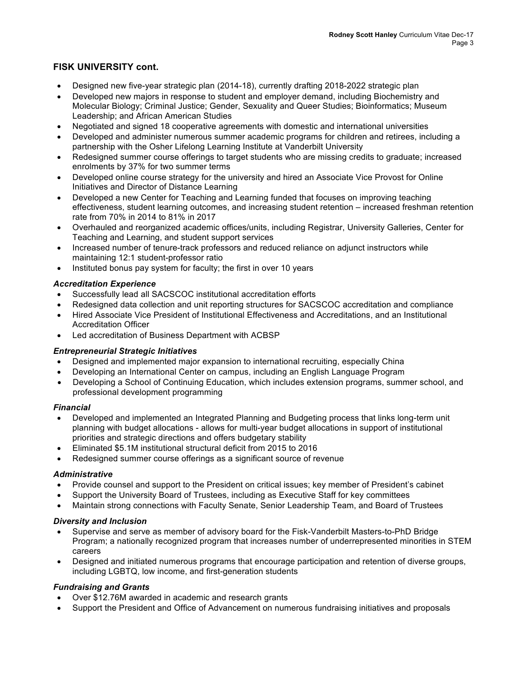## **FISK UNIVERSITY cont.**

- Designed new five-year strategic plan (2014-18), currently drafting 2018-2022 strategic plan
- Developed new majors in response to student and employer demand, including Biochemistry and Molecular Biology; Criminal Justice; Gender, Sexuality and Queer Studies; Bioinformatics; Museum Leadership; and African American Studies
- Negotiated and signed 18 cooperative agreements with domestic and international universities
- Developed and administer numerous summer academic programs for children and retirees, including a partnership with the Osher Lifelong Learning Institute at Vanderbilt University
- Redesigned summer course offerings to target students who are missing credits to graduate; increased enrolments by 37% for two summer terms
- Developed online course strategy for the university and hired an Associate Vice Provost for Online Initiatives and Director of Distance Learning
- Developed a new Center for Teaching and Learning funded that focuses on improving teaching effectiveness, student learning outcomes, and increasing student retention – increased freshman retention rate from 70% in 2014 to 81% in 2017
- Overhauled and reorganized academic offices/units, including Registrar, University Galleries, Center for Teaching and Learning, and student support services
- Increased number of tenure-track professors and reduced reliance on adjunct instructors while maintaining 12:1 student-professor ratio
- Instituted bonus pay system for faculty; the first in over 10 years

## *Accreditation Experience*

- Successfully lead all SACSCOC institutional accreditation efforts
- Redesigned data collection and unit reporting structures for SACSCOC accreditation and compliance
- Hired Associate Vice President of Institutional Effectiveness and Accreditations, and an Institutional Accreditation Officer
- Led accreditation of Business Department with ACBSP

## *Entrepreneurial Strategic Initiatives*

- Designed and implemented major expansion to international recruiting, especially China
- Developing an International Center on campus, including an English Language Program
- Developing a School of Continuing Education, which includes extension programs, summer school, and professional development programming

## *Financial*

- Developed and implemented an Integrated Planning and Budgeting process that links long-term unit planning with budget allocations - allows for multi-year budget allocations in support of institutional priorities and strategic directions and offers budgetary stability
- Eliminated \$5.1M institutional structural deficit from 2015 to 2016
- Redesigned summer course offerings as a significant source of revenue

## *Administrative*

- Provide counsel and support to the President on critical issues; key member of President's cabinet
- Support the University Board of Trustees, including as Executive Staff for key committees
- Maintain strong connections with Faculty Senate, Senior Leadership Team, and Board of Trustees

## *Diversity and Inclusion*

- Supervise and serve as member of advisory board for the Fisk-Vanderbilt Masters-to-PhD Bridge Program; a nationally recognized program that increases number of underrepresented minorities in STEM careers
- Designed and initiated numerous programs that encourage participation and retention of diverse groups, including LGBTQ, low income, and first-generation students

## *Fundraising and Grants*

- Over \$12.76M awarded in academic and research grants
- Support the President and Office of Advancement on numerous fundraising initiatives and proposals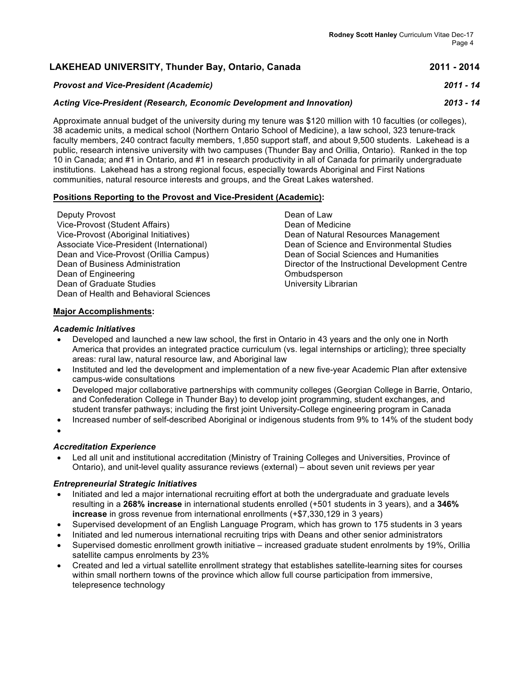| LAKEHEAD UNIVERSITY, Thunder Bay, Ontario, Canada                                                               | 2011 - 2014 |
|-----------------------------------------------------------------------------------------------------------------|-------------|
| <b>Provost and Vice-President (Academic)</b>                                                                    | 2011 - 14   |
| Acting Vice-President (Research, Economic Development and Innovation)                                           | $2013 - 14$ |
| Approximate annual budget of the university during my tenure was \$120 million with 10 faculties (or colleges), |             |

38 academic units, a medical school (Northern Ontario School of Medicine), a law school, 323 tenure-track faculty members, 240 contract faculty members, 1,850 support staff, and about 9,500 students. Lakehead is a public, research intensive university with two campuses (Thunder Bay and Orillia, Ontario). Ranked in the top 10 in Canada; and #1 in Ontario, and #1 in research productivity in all of Canada for primarily undergraduate institutions. Lakehead has a strong regional focus, especially towards Aboriginal and First Nations communities, natural resource interests and groups, and the Great Lakes watershed.

## **Positions Reporting to the Provost and Vice-President (Academic):**

| Deputy Provost                           |
|------------------------------------------|
| Vice-Provost (Student Affairs)           |
| Vice-Provost (Aboriginal Initiatives)    |
| Associate Vice-President (International) |
| Dean and Vice-Provost (Orillia Campus)   |
| Dean of Business Administration          |
| Dean of Engineering                      |
| Dean of Graduate Studies                 |
| Dean of Health and Behavioral Sciences   |

Dean of Law Dean of Medicine Dean of Natural Resources Management Dean of Science and Environmental Studies Dean of Social Sciences and Humanities Director of the Instructional Development Centre Ombudsperson University Librarian

## **Major Accomplishments:**

## *Academic Initiatives*

- Developed and launched a new law school, the first in Ontario in 43 years and the only one in North America that provides an integrated practice curriculum (vs. legal internships or articling); three specialty areas: rural law, natural resource law, and Aboriginal law
- Instituted and led the development and implementation of a new five-year Academic Plan after extensive campus-wide consultations
- Developed major collaborative partnerships with community colleges (Georgian College in Barrie, Ontario, and Confederation College in Thunder Bay) to develop joint programming, student exchanges, and student transfer pathways; including the first joint University-College engineering program in Canada
- Increased number of self-described Aboriginal or indigenous students from 9% to 14% of the student body
- •

## *Accreditation Experience*

• Led all unit and institutional accreditation (Ministry of Training Colleges and Universities, Province of Ontario), and unit-level quality assurance reviews (external) – about seven unit reviews per year

#### *Entrepreneurial Strategic Initiatives*

- Initiated and led a major international recruiting effort at both the undergraduate and graduate levels resulting in a **268% increase** in international students enrolled (+501 students in 3 years), and a **346% increase** in gross revenue from international enrollments (+\$7,330,129 in 3 years)
- Supervised development of an English Language Program, which has grown to 175 students in 3 years
- Initiated and led numerous international recruiting trips with Deans and other senior administrators
- Supervised domestic enrollment growth initiative increased graduate student enrolments by 19%, Orillia satellite campus enrolments by 23%
- Created and led a virtual satellite enrollment strategy that establishes satellite-learning sites for courses within small northern towns of the province which allow full course participation from immersive, telepresence technology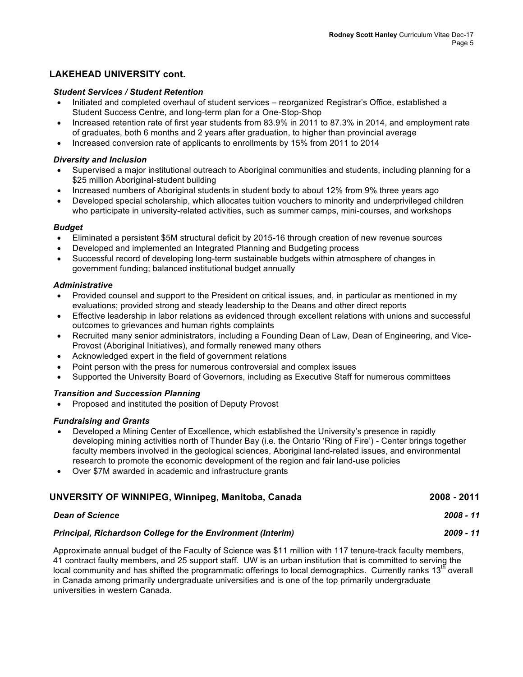## **LAKEHEAD UNIVERSITY cont.**

## *Student Services / Student Retention*

- Initiated and completed overhaul of student services reorganized Registrar's Office, established a Student Success Centre, and long-term plan for a One-Stop-Shop
- Increased retention rate of first year students from 83.9% in 2011 to 87.3% in 2014, and employment rate of graduates, both 6 months and 2 years after graduation, to higher than provincial average
- Increased conversion rate of applicants to enrollments by 15% from 2011 to 2014

#### *Diversity and Inclusion*

- Supervised a major institutional outreach to Aboriginal communities and students, including planning for a \$25 million Aboriginal-student building
- Increased numbers of Aboriginal students in student body to about 12% from 9% three years ago
- Developed special scholarship, which allocates tuition vouchers to minority and underprivileged children who participate in university-related activities, such as summer camps, mini-courses, and workshops

#### *Budget*

- Eliminated a persistent \$5M structural deficit by 2015-16 through creation of new revenue sources
- Developed and implemented an Integrated Planning and Budgeting process
- Successful record of developing long-term sustainable budgets within atmosphere of changes in government funding; balanced institutional budget annually

## *Administrative*

- Provided counsel and support to the President on critical issues, and, in particular as mentioned in my evaluations; provided strong and steady leadership to the Deans and other direct reports
- Effective leadership in labor relations as evidenced through excellent relations with unions and successful outcomes to grievances and human rights complaints
- Recruited many senior administrators, including a Founding Dean of Law, Dean of Engineering, and Vice-Provost (Aboriginal Initiatives), and formally renewed many others
- Acknowledged expert in the field of government relations
- Point person with the press for numerous controversial and complex issues
- Supported the University Board of Governors, including as Executive Staff for numerous committees

## *Transition and Succession Planning*

• Proposed and instituted the position of Deputy Provost

#### *Fundraising and Grants*

- Developed a Mining Center of Excellence, which established the University's presence in rapidly developing mining activities north of Thunder Bay (i.e. the Ontario 'Ring of Fire') - Center brings together faculty members involved in the geological sciences, Aboriginal land-related issues, and environmental research to promote the economic development of the region and fair land-use policies
- Over \$7M awarded in academic and infrastructure grants

# **UNVERSITY OF WINNIPEG, Winnipeg, Manitoba, Canada 2008 - 2011**

| <b>Dean of Science</b>                                             | $2008 - 11$ |
|--------------------------------------------------------------------|-------------|
| <b>Principal, Richardson College for the Environment (Interim)</b> | $2009 - 11$ |

Approximate annual budget of the Faculty of Science was \$11 million with 117 tenure-track faculty members, 41 contract faulty members, and 25 support staff. UW is an urban institution that is committed to serving the local community and has shifted the programmatic offerings to local demographics. Currently ranks 13<sup>th</sup> overall in Canada among primarily undergraduate universities and is one of the top primarily undergraduate universities in western Canada.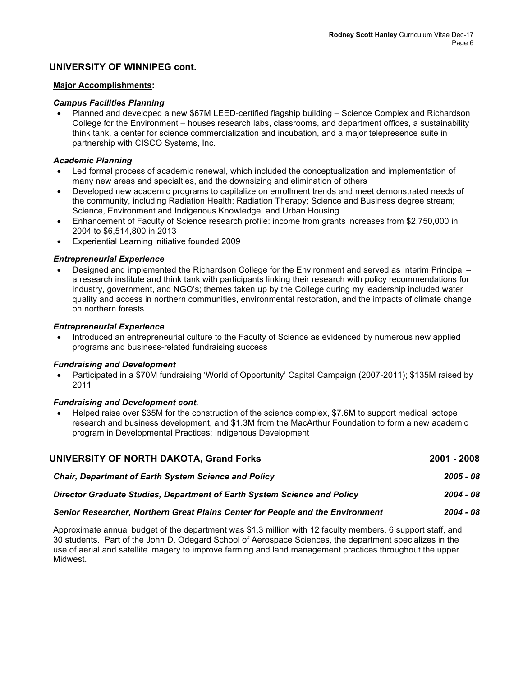## **UNIVERSITY OF WINNIPEG cont.**

#### **Major Accomplishments:**

#### *Campus Facilities Planning*

• Planned and developed a new \$67M LEED-certified flagship building – Science Complex and Richardson College for the Environment – houses research labs, classrooms, and department offices, a sustainability think tank, a center for science commercialization and incubation, and a major telepresence suite in partnership with CISCO Systems, Inc.

#### *Academic Planning*

- Led formal process of academic renewal, which included the conceptualization and implementation of many new areas and specialties, and the downsizing and elimination of others
- Developed new academic programs to capitalize on enrollment trends and meet demonstrated needs of the community, including Radiation Health; Radiation Therapy; Science and Business degree stream; Science, Environment and Indigenous Knowledge; and Urban Housing
- Enhancement of Faculty of Science research profile: income from grants increases from \$2,750,000 in 2004 to \$6,514,800 in 2013
- Experiential Learning initiative founded 2009

#### *Entrepreneurial Experience*

• Designed and implemented the Richardson College for the Environment and served as Interim Principal – a research institute and think tank with participants linking their research with policy recommendations for industry, government, and NGO's; themes taken up by the College during my leadership included water quality and access in northern communities, environmental restoration, and the impacts of climate change on northern forests

#### *Entrepreneurial Experience*

• Introduced an entrepreneurial culture to the Faculty of Science as evidenced by numerous new applied programs and business-related fundraising success

#### *Fundraising and Development*

• Participated in a \$70M fundraising 'World of Opportunity' Capital Campaign (2007-2011); \$135M raised by 2011

#### *Fundraising and Development cont.*

• Helped raise over \$35M for the construction of the science complex, \$7.6M to support medical isotope research and business development, and \$1.3M from the MacArthur Foundation to form a new academic program in Developmental Practices: Indigenous Development

| UNIVERSITY OF NORTH DAKOTA, Grand Forks                                  | 2001 - 2008 |
|--------------------------------------------------------------------------|-------------|
| Chair, Department of Earth System Science and Policy                     | 2005 - 08   |
| Director Graduate Studies, Department of Earth System Science and Policy | 2004 - 08   |
|                                                                          |             |

## *Senior Researcher, Northern Great Plains Center for People and the Environment 2004 - 08*

Approximate annual budget of the department was \$1.3 million with 12 faculty members, 6 support staff, and 30 students. Part of the John D. Odegard School of Aerospace Sciences, the department specializes in the use of aerial and satellite imagery to improve farming and land management practices throughout the upper Midwest.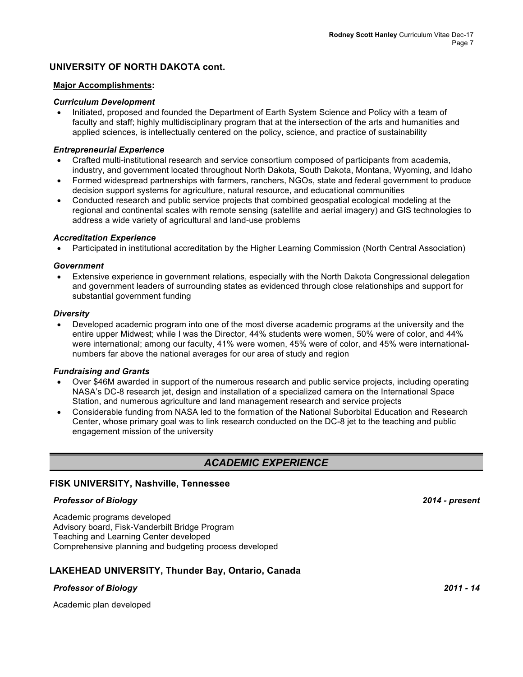## **UNIVERSITY OF NORTH DAKOTA cont.**

#### **Major Accomplishments:**

#### *Curriculum Development*

• Initiated, proposed and founded the Department of Earth System Science and Policy with a team of faculty and staff; highly multidisciplinary program that at the intersection of the arts and humanities and applied sciences, is intellectually centered on the policy, science, and practice of sustainability

#### *Entrepreneurial Experience*

- Crafted multi-institutional research and service consortium composed of participants from academia, industry, and government located throughout North Dakota, South Dakota, Montana, Wyoming, and Idaho
- Formed widespread partnerships with farmers, ranchers, NGOs, state and federal government to produce decision support systems for agriculture, natural resource, and educational communities
- Conducted research and public service projects that combined geospatial ecological modeling at the regional and continental scales with remote sensing (satellite and aerial imagery) and GIS technologies to address a wide variety of agricultural and land-use problems

## *Accreditation Experience*

• Participated in institutional accreditation by the Higher Learning Commission (North Central Association)

#### *Government*

• Extensive experience in government relations, especially with the North Dakota Congressional delegation and government leaders of surrounding states as evidenced through close relationships and support for substantial government funding

#### *Diversity*

• Developed academic program into one of the most diverse academic programs at the university and the entire upper Midwest; while I was the Director, 44% students were women, 50% were of color, and 44% were international; among our faculty, 41% were women, 45% were of color, and 45% were internationalnumbers far above the national averages for our area of study and region

#### *Fundraising and Grants*

- Over \$46M awarded in support of the numerous research and public service projects, including operating NASA's DC-8 research jet, design and installation of a specialized camera on the International Space Station, and numerous agriculture and land management research and service projects
- Considerable funding from NASA led to the formation of the National Suborbital Education and Research Center, whose primary goal was to link research conducted on the DC-8 jet to the teaching and public engagement mission of the university

# *ACADEMIC EXPERIENCE*

#### **FISK UNIVERSITY, Nashville, Tennessee**

## *Professor of Biology 2014 - present*

Academic programs developed Advisory board, Fisk-Vanderbilt Bridge Program Teaching and Learning Center developed Comprehensive planning and budgeting process developed

## **LAKEHEAD UNIVERSITY, Thunder Bay, Ontario, Canada**

## *Professor of Biology 2011 - 14*

Academic plan developed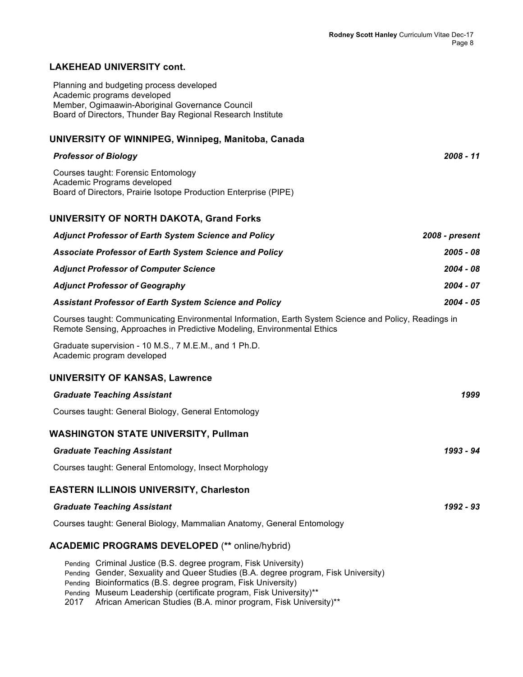## **LAKEHEAD UNIVERSITY cont.**

Planning and budgeting process developed Academic programs developed Member, Ogimaawin-Aboriginal Governance Council Board of Directors, Thunder Bay Regional Research Institute

## **UNIVERSITY OF WINNIPEG, Winnipeg, Manitoba, Canada**

| <b>Professor of Biology</b>                                                                                                                                                      | $2008 - 11$    |
|----------------------------------------------------------------------------------------------------------------------------------------------------------------------------------|----------------|
| Courses taught: Forensic Entomology<br>Academic Programs developed<br>Board of Directors, Prairie Isotope Production Enterprise (PIPE)                                           |                |
|                                                                                                                                                                                  |                |
| <b>UNIVERSITY OF NORTH DAKOTA, Grand Forks</b>                                                                                                                                   |                |
| <b>Adjunct Professor of Earth System Science and Policy</b>                                                                                                                      | 2008 - present |
| Associate Professor of Earth System Science and Policy                                                                                                                           | 2005 - 08      |
| <b>Adjunct Professor of Computer Science</b>                                                                                                                                     | $2004 - 08$    |
| <b>Adjunct Professor of Geography</b>                                                                                                                                            | 2004 - 07      |
| <b>Assistant Professor of Earth System Science and Policy</b>                                                                                                                    | 2004 - 05      |
| Courses taught: Communicating Environmental Information, Earth System Science and Policy, Readings in<br>Remote Sensing, Approaches in Predictive Modeling, Environmental Ethics |                |
| Graduate supervision - 10 M.S., 7 M.E.M., and 1 Ph.D.<br>Academic program developed                                                                                              |                |
| <b>UNIVERSITY OF KANSAS, Lawrence</b>                                                                                                                                            |                |
| <b>Graduate Teaching Assistant</b>                                                                                                                                               | 1999           |
| Courses taught: General Biology, General Entomology                                                                                                                              |                |
| <b>WASHINGTON STATE UNIVERSITY, Pullman</b>                                                                                                                                      |                |
| <b>Graduate Teaching Assistant</b>                                                                                                                                               | 1993 - 94      |
| Courses taught: General Entomology, Insect Morphology                                                                                                                            |                |
| <b>EASTERN ILLINOIS UNIVERSITY, Charleston</b>                                                                                                                                   |                |
| <b>Graduate Teaching Assistant</b>                                                                                                                                               | 1992 - 93      |
| Courses taught: General Biology, Mammalian Anatomy, General Entomology                                                                                                           |                |
| <b>ACADEMIC PROGRAMS DEVELOPED (** online/hybrid)</b>                                                                                                                            |                |
| Pending Criminal Justice (B.S. degree program, Fisk University)<br>Pending Gender, Sexuality and Queer Studies (B.A. degree program, Fisk University)                            |                |

- Pending Bioinformatics (B.S. degree program, Fisk University)
- Pending Museum Leadership (certificate program, Fisk University)\*\*
- 2017 African American Studies (B.A. minor program, Fisk University)\*\*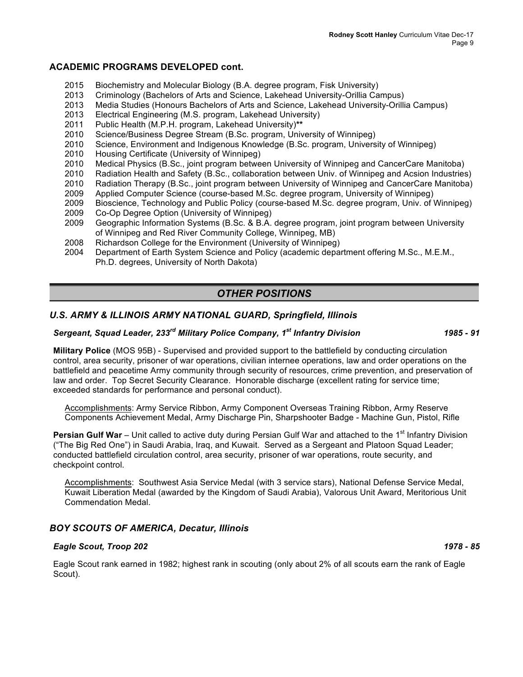## **ACADEMIC PROGRAMS DEVELOPED cont.**

- 2015 Biochemistry and Molecular Biology (B.A. degree program, Fisk University)
- 2013 Criminology (Bachelors of Arts and Science, Lakehead University-Orillia Campus)
- 2013 Media Studies (Honours Bachelors of Arts and Science, Lakehead University-Orillia Campus)
- 2013 Electrical Engineering (M.S. program, Lakehead University)
- 2011 Public Health (M.P.H. program, Lakehead University)**\*\***
- 2010 Science/Business Degree Stream (B.Sc. program, University of Winnipeg)
- 2010 Science, Environment and Indigenous Knowledge (B.Sc. program, University of Winnipeg)
- 2010 Housing Certificate (University of Winnipeg)
- 2010 Medical Physics (B.Sc., joint program between University of Winnipeg and CancerCare Manitoba)
- 2010 Radiation Health and Safety (B.Sc., collaboration between Univ. of Winnipeg and Acsion Industries)
- 2010 Radiation Therapy (B.Sc., joint program between University of Winnipeg and CancerCare Manitoba)<br>2009 Applied Computer Science (course-based M.Sc. degree program, University of Winnipeg)
- Applied Computer Science (course-based M.Sc. degree program, University of Winnipeg)
- 2009 Bioscience, Technology and Public Policy (course-based M.Sc. degree program, Univ. of Winnipeg)
- 2009 Co-Op Degree Option (University of Winnipeg)
- 2009 Geographic Information Systems (B.Sc. & B.A. degree program, joint program between University of Winnipeg and Red River Community College, Winnipeg, MB)
- 2008 Richardson College for the Environment (University of Winnipeg)
- 2004 Department of Earth System Science and Policy (academic department offering M.Sc., M.E.M., Ph.D. degrees, University of North Dakota)

# *OTHER POSITIONS*

## *U.S. ARMY & ILLINOIS ARMY NATIONAL GUARD, Springfield, Illinois*

# *Sergeant, Squad Leader, 233rd Military Police Company, 1st Infantry Division 1985 - 91*

**Military Police** (MOS 95B) - Supervised and provided support to the battlefield by conducting circulation control, area security, prisoner of war operations, civilian internee operations, law and order operations on the battlefield and peacetime Army community through security of resources, crime prevention, and preservation of law and order. Top Secret Security Clearance. Honorable discharge (excellent rating for service time; exceeded standards for performance and personal conduct).

Accomplishments: Army Service Ribbon, Army Component Overseas Training Ribbon, Army Reserve Components Achievement Medal, Army Discharge Pin, Sharpshooter Badge - Machine Gun, Pistol, Rifle

**Persian Gulf War** – Unit called to active duty during Persian Gulf War and attached to the 1<sup>st</sup> Infantry Division ("The Big Red One") in Saudi Arabia, Iraq, and Kuwait. Served as a Sergeant and Platoon Squad Leader; conducted battlefield circulation control, area security, prisoner of war operations, route security, and checkpoint control.

Accomplishments: Southwest Asia Service Medal (with 3 service stars), National Defense Service Medal, Kuwait Liberation Medal (awarded by the Kingdom of Saudi Arabia), Valorous Unit Award, Meritorious Unit Commendation Medal.

## *BOY SCOUTS OF AMERICA, Decatur, Illinois*

#### *Eagle Scout, Troop 202 1978 - 85*

Eagle Scout rank earned in 1982; highest rank in scouting (only about 2% of all scouts earn the rank of Eagle Scout).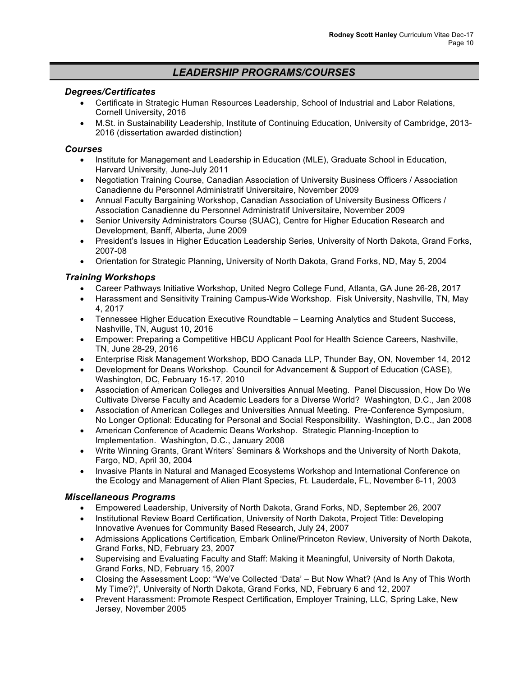# *LEADERSHIP PROGRAMS/COURSES*

## *Degrees/Certificates*

- Certificate in Strategic Human Resources Leadership, School of Industrial and Labor Relations, Cornell University, 2016
- M.St. in Sustainability Leadership, Institute of Continuing Education, University of Cambridge, 2013- 2016 (dissertation awarded distinction)

## *Courses*

- Institute for Management and Leadership in Education (MLE), Graduate School in Education, Harvard University, June-July 2011
- Negotiation Training Course, Canadian Association of University Business Officers / Association Canadienne du Personnel Administratif Universitaire, November 2009
- Annual Faculty Bargaining Workshop, Canadian Association of University Business Officers / Association Canadienne du Personnel Administratif Universitaire, November 2009
- Senior University Administrators Course (SUAC), Centre for Higher Education Research and Development, Banff, Alberta, June 2009
- President's Issues in Higher Education Leadership Series, University of North Dakota, Grand Forks, 2007-08
- Orientation for Strategic Planning, University of North Dakota, Grand Forks, ND, May 5, 2004

## *Training Workshops*

- Career Pathways Initiative Workshop, United Negro College Fund, Atlanta, GA June 26-28, 2017
- Harassment and Sensitivity Training Campus-Wide Workshop. Fisk University, Nashville, TN, May 4, 2017
- Tennessee Higher Education Executive Roundtable Learning Analytics and Student Success, Nashville, TN, August 10, 2016
- Empower: Preparing a Competitive HBCU Applicant Pool for Health Science Careers, Nashville, TN, June 28-29, 2016
- Enterprise Risk Management Workshop, BDO Canada LLP, Thunder Bay, ON, November 14, 2012
- Development for Deans Workshop. Council for Advancement & Support of Education (CASE), Washington, DC, February 15-17, 2010
- Association of American Colleges and Universities Annual Meeting. Panel Discussion, How Do We Cultivate Diverse Faculty and Academic Leaders for a Diverse World? Washington, D.C., Jan 2008
- Association of American Colleges and Universities Annual Meeting. Pre-Conference Symposium, No Longer Optional: Educating for Personal and Social Responsibility. Washington, D.C., Jan 2008
- American Conference of Academic Deans Workshop. Strategic Planning-Inception to Implementation. Washington, D.C., January 2008
- Write Winning Grants, Grant Writers' Seminars & Workshops and the University of North Dakota, Fargo, ND, April 30, 2004
- Invasive Plants in Natural and Managed Ecosystems Workshop and International Conference on the Ecology and Management of Alien Plant Species, Ft. Lauderdale, FL, November 6-11, 2003

## *Miscellaneous Programs*

- Empowered Leadership, University of North Dakota, Grand Forks, ND, September 26, 2007
- Institutional Review Board Certification, University of North Dakota, Project Title: Developing Innovative Avenues for Community Based Research, July 24, 2007
- Admissions Applications Certification*,* Embark Online/Princeton Review, University of North Dakota, Grand Forks, ND, February 23, 2007
- Supervising and Evaluating Faculty and Staff: Making it Meaningful, University of North Dakota, Grand Forks, ND, February 15, 2007
- Closing the Assessment Loop: "We've Collected 'Data' But Now What? (And Is Any of This Worth My Time?)", University of North Dakota, Grand Forks, ND, February 6 and 12, 2007
- Prevent Harassment: Promote Respect Certification, Employer Training, LLC, Spring Lake, New Jersey, November 2005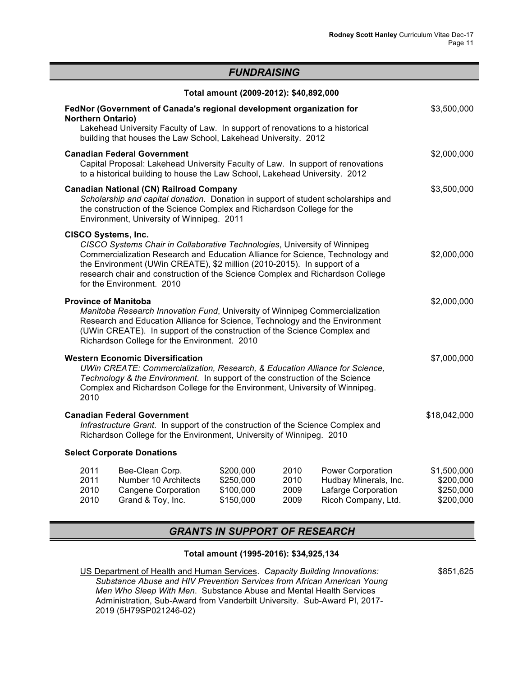## *FUNDRAISING*

|                          |                                                                                                                                                                                                                                                                                                                                                                                   | Total amount (2009-2012): \$40,892,000 |      |                          |              |
|--------------------------|-----------------------------------------------------------------------------------------------------------------------------------------------------------------------------------------------------------------------------------------------------------------------------------------------------------------------------------------------------------------------------------|----------------------------------------|------|--------------------------|--------------|
| <b>Northern Ontario)</b> | FedNor (Government of Canada's regional development organization for<br>Lakehead University Faculty of Law. In support of renovations to a historical<br>building that houses the Law School, Lakehead University. 2012                                                                                                                                                           |                                        |      |                          | \$3,500,000  |
|                          | <b>Canadian Federal Government</b><br>Capital Proposal: Lakehead University Faculty of Law. In support of renovations<br>to a historical building to house the Law School, Lakehead University. 2012                                                                                                                                                                              |                                        |      |                          | \$2,000,000  |
|                          | <b>Canadian National (CN) Railroad Company</b><br>Scholarship and capital donation. Donation in support of student scholarships and<br>the construction of the Science Complex and Richardson College for the<br>Environment, University of Winnipeg. 2011                                                                                                                        |                                        |      |                          | \$3,500,000  |
|                          | <b>CISCO Systems, Inc.</b><br>CISCO Systems Chair in Collaborative Technologies, University of Winnipeg<br>Commercialization Research and Education Alliance for Science, Technology and<br>the Environment (UWin CREATE), \$2 million (2010-2015). In support of a<br>research chair and construction of the Science Complex and Richardson College<br>for the Environment. 2010 |                                        |      |                          | \$2,000,000  |
|                          | <b>Province of Manitoba</b><br>Manitoba Research Innovation Fund, University of Winnipeg Commercialization<br>Research and Education Alliance for Science, Technology and the Environment<br>(UWin CREATE). In support of the construction of the Science Complex and<br>Richardson College for the Environment. 2010                                                             |                                        |      |                          | \$2,000,000  |
| 2010                     | <b>Western Economic Diversification</b><br>UWin CREATE: Commercialization, Research, & Education Alliance for Science,<br>Technology & the Environment. In support of the construction of the Science<br>Complex and Richardson College for the Environment, University of Winnipeg.                                                                                              |                                        |      |                          | \$7,000,000  |
|                          | <b>Canadian Federal Government</b><br>Infrastructure Grant. In support of the construction of the Science Complex and<br>Richardson College for the Environment, University of Winnipeg. 2010                                                                                                                                                                                     |                                        |      |                          | \$18,042,000 |
|                          | <b>Select Corporate Donations</b>                                                                                                                                                                                                                                                                                                                                                 |                                        |      |                          |              |
| 2011                     | Bee-Clean Corp.                                                                                                                                                                                                                                                                                                                                                                   | \$200,000                              | 2010 | <b>Power Corporation</b> | \$1,500,000  |

| <u>_ , , ,</u> | <b>DUU UIUUII UUIPI</b> | $v$ . $v$ . $v$ . $v$ | ---  | , ono, oo, polation   | $v \cdot v \cdot v \cdot v$ |
|----------------|-------------------------|-----------------------|------|-----------------------|-----------------------------|
| 2011           | Number 10 Architects    | \$250,000             | 2010 | Hudbay Minerals, Inc. | \$200,000                   |
| 2010           | Cangene Corporation     | \$100,000             | 2009 | Lafarge Corporation   | \$250,000                   |
| 2010           | Grand & Toy, Inc.       | \$150,000             | 2009 | Ricoh Company, Ltd.   | \$200,000                   |
|                |                         |                       |      |                       |                             |

# *GRANTS IN SUPPORT OF RESEARCH*

## **Total amount (1995-2016): \$34,925,134**

\$851,625

US Department of Health and Human Services. *Capacity Building Innovations: Substance Abuse and HIV Prevention Services from African American Young Men Who Sleep With Men*. Substance Abuse and Mental Health Services Administration, Sub-Award from Vanderbilt University. Sub-Award PI, 2017- 2019 (5H79SP021246-02)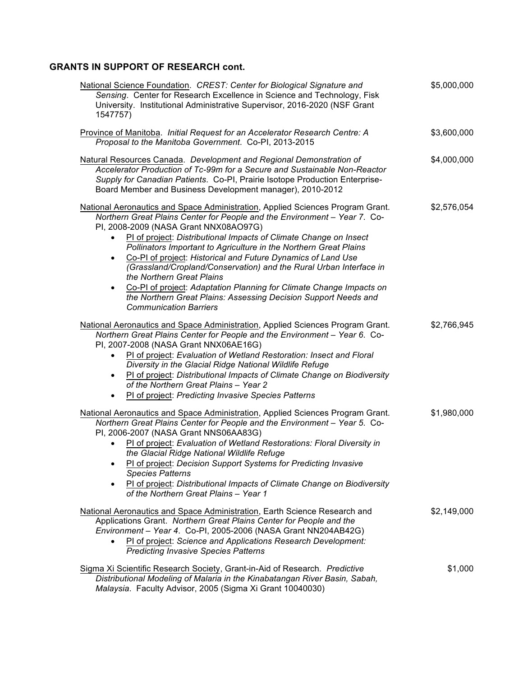# **GRANTS IN SUPPORT OF RESEARCH cont.**

| National Science Foundation. CREST: Center for Biological Signature and<br>Sensing. Center for Research Excellence in Science and Technology, Fisk<br>University. Institutional Administrative Supervisor, 2016-2020 (NSF Grant<br>1547757)                                                                                                                                                                                                                                                                                                                                                                                                                                                  | \$5,000,000 |
|----------------------------------------------------------------------------------------------------------------------------------------------------------------------------------------------------------------------------------------------------------------------------------------------------------------------------------------------------------------------------------------------------------------------------------------------------------------------------------------------------------------------------------------------------------------------------------------------------------------------------------------------------------------------------------------------|-------------|
| Province of Manitoba. Initial Request for an Accelerator Research Centre: A<br>Proposal to the Manitoba Government. Co-PI, 2013-2015                                                                                                                                                                                                                                                                                                                                                                                                                                                                                                                                                         | \$3,600,000 |
| Natural Resources Canada. Development and Regional Demonstration of<br>Accelerator Production of Tc-99m for a Secure and Sustainable Non-Reactor<br>Supply for Canadian Patients. Co-PI, Prairie Isotope Production Enterprise-<br>Board Member and Business Development manager), 2010-2012                                                                                                                                                                                                                                                                                                                                                                                                 | \$4,000,000 |
| National Aeronautics and Space Administration, Applied Sciences Program Grant.<br>Northern Great Plains Center for People and the Environment - Year 7. Co-<br>PI, 2008-2009 (NASA Grant NNX08AO97G)<br>PI of project: Distributional Impacts of Climate Change on Insect<br>Pollinators Important to Agriculture in the Northern Great Plains<br>Co-PI of project: Historical and Future Dynamics of Land Use<br>(Grassland/Cropland/Conservation) and the Rural Urban Interface in<br>the Northern Great Plains<br>Co-PI of project: Adaptation Planning for Climate Change Impacts on<br>the Northern Great Plains: Assessing Decision Support Needs and<br><b>Communication Barriers</b> | \$2,576,054 |
| National Aeronautics and Space Administration, Applied Sciences Program Grant.<br>Northern Great Plains Center for People and the Environment - Year 6. Co-<br>PI, 2007-2008 (NASA Grant NNX06AE16G)<br>PI of project: Evaluation of Wetland Restoration: Insect and Floral<br>Diversity in the Glacial Ridge National Wildlife Refuge<br>PI of project: Distributional Impacts of Climate Change on Biodiversity<br>of the Northern Great Plains - Year 2<br>PI of project: Predicting Invasive Species Patterns<br>$\bullet$                                                                                                                                                               | \$2,766,945 |
| National Aeronautics and Space Administration, Applied Sciences Program Grant.<br>Northern Great Plains Center for People and the Environment - Year 5. Co-<br>PI, 2006-2007 (NASA Grant NNS06AA83G)<br>PI of project: Evaluation of Wetland Restorations: Floral Diversity in<br>the Glacial Ridge National Wildlife Refuge<br>PI of project: Decision Support Systems for Predicting Invasive<br><b>Species Patterns</b><br>PI of project: Distributional Impacts of Climate Change on Biodiversity<br>of the Northern Great Plains - Year 1                                                                                                                                               | \$1,980,000 |
| National Aeronautics and Space Administration, Earth Science Research and<br>Applications Grant. Northern Great Plains Center for People and the<br>Environment - Year 4. Co-PI, 2005-2006 (NASA Grant NN204AB42G)<br>PI of project: Science and Applications Research Development:<br><b>Predicting Invasive Species Patterns</b>                                                                                                                                                                                                                                                                                                                                                           | \$2,149,000 |
| Sigma Xi Scientific Research Society, Grant-in-Aid of Research. Predictive<br>Distributional Modeling of Malaria in the Kinabatangan River Basin, Sabah,<br>Malaysia. Faculty Advisor, 2005 (Sigma Xi Grant 10040030)                                                                                                                                                                                                                                                                                                                                                                                                                                                                        | \$1,000     |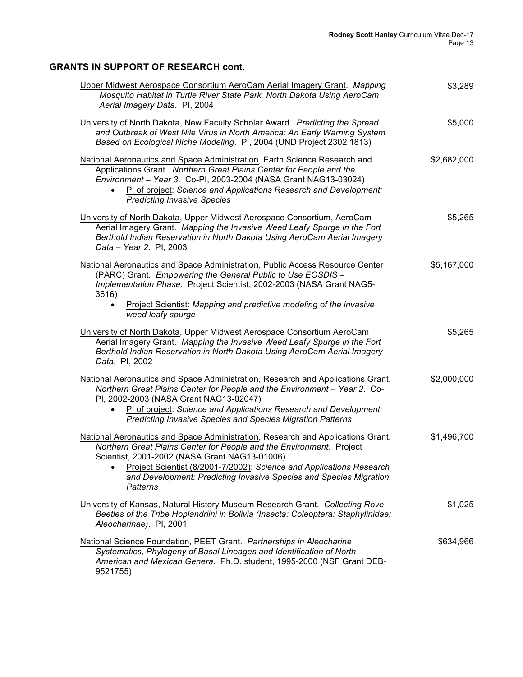# **GRANTS IN SUPPORT OF RESEARCH cont.**

| Upper Midwest Aerospace Consortium AeroCam Aerial Imagery Grant. Mapping<br>Mosquito Habitat in Turtle River State Park, North Dakota Using AeroCam<br>Aerial Imagery Data. Pl, 2004                                                                                                                                                                               | \$3,289     |
|--------------------------------------------------------------------------------------------------------------------------------------------------------------------------------------------------------------------------------------------------------------------------------------------------------------------------------------------------------------------|-------------|
| University of North Dakota, New Faculty Scholar Award. Predicting the Spread<br>and Outbreak of West Nile Virus in North America: An Early Warning System<br>Based on Ecological Niche Modeling. PI, 2004 (UND Project 2302 1813)                                                                                                                                  | \$5,000     |
| National Aeronautics and Space Administration, Earth Science Research and<br>Applications Grant. Northern Great Plains Center for People and the<br>Environment - Year 3. Co-PI, 2003-2004 (NASA Grant NAG13-03024)<br>PI of project: Science and Applications Research and Development:<br><b>Predicting Invasive Species</b>                                     | \$2,682,000 |
| University of North Dakota, Upper Midwest Aerospace Consortium, AeroCam<br>Aerial Imagery Grant. Mapping the Invasive Weed Leafy Spurge in the Fort<br>Berthold Indian Reservation in North Dakota Using AeroCam Aerial Imagery<br>Data - Year 2. Pl, 2003                                                                                                         | \$5,265     |
| National Aeronautics and Space Administration, Public Access Resource Center<br>(PARC) Grant. Empowering the General Public to Use EOSDIS -<br>Implementation Phase. Project Scientist, 2002-2003 (NASA Grant NAG5-<br>3616)<br>Project Scientist: Mapping and predictive modeling of the invasive                                                                 | \$5,167,000 |
| weed leafy spurge                                                                                                                                                                                                                                                                                                                                                  |             |
| University of North Dakota, Upper Midwest Aerospace Consortium AeroCam<br>Aerial Imagery Grant. Mapping the Invasive Weed Leafy Spurge in the Fort<br>Berthold Indian Reservation in North Dakota Using AeroCam Aerial Imagery<br>Data. PI, 2002                                                                                                                   | \$5,265     |
| National Aeronautics and Space Administration, Research and Applications Grant.<br>Northern Great Plains Center for People and the Environment - Year 2. Co-<br>PI, 2002-2003 (NASA Grant NAG13-02047)<br>PI of project: Science and Applications Research and Development:<br>$\bullet$<br>Predicting Invasive Species and Species Migration Patterns             | \$2,000,000 |
| National Aeronautics and Space Administration, Research and Applications Grant.<br>Northern Great Plains Center for People and the Environment. Project<br>Scientist, 2001-2002 (NASA Grant NAG13-01006)<br>Project Scientist (8/2001-7/2002): Science and Applications Research<br>and Development: Predicting Invasive Species and Species Migration<br>Patterns | \$1,496,700 |
| University of Kansas, Natural History Museum Research Grant. Collecting Rove<br>Beetles of the Tribe Hoplandriini in Bolivia (Insecta: Coleoptera: Staphylinidae:<br>Aleocharinae). PI, 2001                                                                                                                                                                       | \$1,025     |
| National Science Foundation, PEET Grant. Partnerships in Aleocharine<br>Systematics, Phylogeny of Basal Lineages and Identification of North<br>American and Mexican Genera. Ph.D. student, 1995-2000 (NSF Grant DEB-<br>9521755)                                                                                                                                  | \$634,966   |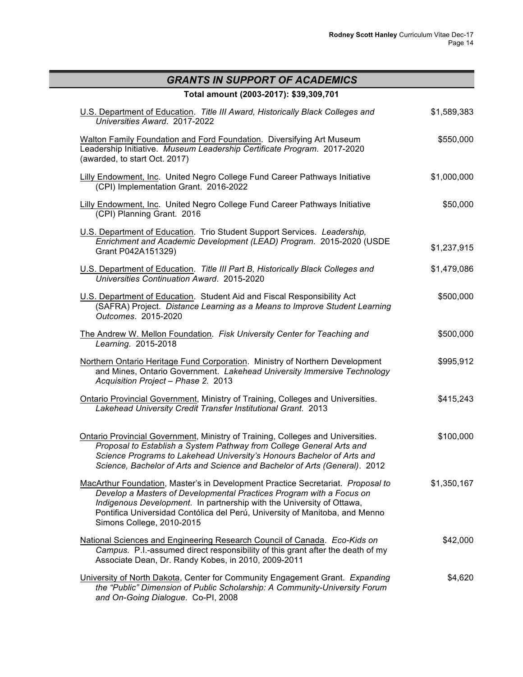| <b>GRANTS IN SUPPORT OF ACADEMICS</b>                                                                                                                                                                                                                                                                                                        |             |  |
|----------------------------------------------------------------------------------------------------------------------------------------------------------------------------------------------------------------------------------------------------------------------------------------------------------------------------------------------|-------------|--|
| Total amount (2003-2017): \$39,309,701                                                                                                                                                                                                                                                                                                       |             |  |
| U.S. Department of Education. Title III Award, Historically Black Colleges and<br>Universities Award. 2017-2022                                                                                                                                                                                                                              | \$1,589,383 |  |
| Walton Family Foundation and Ford Foundation. Diversifying Art Museum<br>Leadership Initiative. Museum Leadership Certificate Program. 2017-2020<br>(awarded, to start Oct. 2017)                                                                                                                                                            | \$550,000   |  |
| Lilly Endowment, Inc. United Negro College Fund Career Pathways Initiative<br>(CPI) Implementation Grant. 2016-2022                                                                                                                                                                                                                          | \$1,000,000 |  |
| Lilly Endowment, Inc. United Negro College Fund Career Pathways Initiative<br>(CPI) Planning Grant. 2016                                                                                                                                                                                                                                     | \$50,000    |  |
| U.S. Department of Education. Trio Student Support Services. Leadership,<br>Enrichment and Academic Development (LEAD) Program. 2015-2020 (USDE<br>Grant P042A151329)                                                                                                                                                                        | \$1,237,915 |  |
| U.S. Department of Education. Title III Part B, Historically Black Colleges and<br>Universities Continuation Award. 2015-2020                                                                                                                                                                                                                | \$1,479,086 |  |
| U.S. Department of Education. Student Aid and Fiscal Responsibility Act<br>(SAFRA) Project. Distance Learning as a Means to Improve Student Learning<br>Outcomes. 2015-2020                                                                                                                                                                  | \$500,000   |  |
| The Andrew W. Mellon Foundation. Fisk University Center for Teaching and<br>Learning. 2015-2018                                                                                                                                                                                                                                              | \$500,000   |  |
| Northern Ontario Heritage Fund Corporation. Ministry of Northern Development<br>and Mines, Ontario Government. Lakehead University Immersive Technology<br>Acquisition Project - Phase 2. 2013                                                                                                                                               | \$995,912   |  |
| Ontario Provincial Government, Ministry of Training, Colleges and Universities.<br>Lakehead University Credit Transfer Institutional Grant. 2013                                                                                                                                                                                             | \$415,243   |  |
| Ontario Provincial Government, Ministry of Training, Colleges and Universities.<br>Proposal to Establish a System Pathway from College General Arts and<br>Science Programs to Lakehead University's Honours Bachelor of Arts and<br>Science, Bachelor of Arts and Science and Bachelor of Arts (General). 2012                              | \$100,000   |  |
| MacArthur Foundation, Master's in Development Practice Secretariat. Proposal to<br>Develop a Masters of Developmental Practices Program with a Focus on<br>Indigenous Development. In partnership with the University of Ottawa,<br>Pontifica Universidad Contólica del Perú, University of Manitoba, and Menno<br>Simons College, 2010-2015 | \$1,350,167 |  |
| National Sciences and Engineering Research Council of Canada. Eco-Kids on<br>Campus. P.I.-assumed direct responsibility of this grant after the death of my<br>Associate Dean, Dr. Randy Kobes, in 2010, 2009-2011                                                                                                                           | \$42,000    |  |
| University of North Dakota, Center for Community Engagement Grant. Expanding<br>the "Public" Dimension of Public Scholarship: A Community-University Forum<br>and On-Going Dialogue. Co-PI, 2008                                                                                                                                             | \$4,620     |  |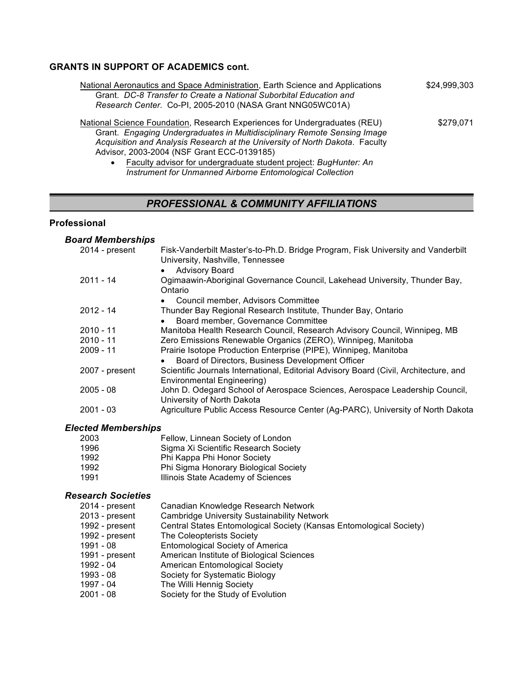## **GRANTS IN SUPPORT OF ACADEMICS cont.**

| National Aeronautics and Space Administration, Earth Science and Applications | \$24,999,303 |
|-------------------------------------------------------------------------------|--------------|
| Grant. DC-8 Transfer to Create a National Suborbital Education and            |              |
| Research Center. Co-PI, 2005-2010 (NASA Grant NNG05WC01A)                     |              |
| National Science Foundation, Research Experiences for Undergraduates (REU)    | \$279,071    |
| Grant. Engaging Undergraduates in Multidisciplinary Remote Sensing Image      |              |
| Acquisition and Analysis Research at the University of North Dakota. Faculty  |              |
| Advisor, 2003-2004 (NSF Grant ECC-0139185)                                    |              |
| • Faculty advisor for undergraduate student project: BugHunter: An            |              |

• Faculty advisor for undergraduate student project: *BugHunter: An Instrument for Unmanned Airborne Entomological Collection*

## *PROFESSIONAL & COMMUNITY AFFILIATIONS*

## **Professional**

## *Board Memberships* 2014 - present Fisk-Vanderbilt Master's-to-Ph.D. Bridge Program, Fisk University and Vanderbilt University, Nashville, Tennessee • Advisory Board 2011 - 14 Ogimaawin-Aboriginal Governance Council, Lakehead University, Thunder Bay, Ontario • Council member, Advisors Committee 2012 - 14 Thunder Bay Regional Research Institute, Thunder Bay, Ontario • Board member, Governance Committee 2010 - 11 Manitoba Health Research Council, Research Advisory Council, Winnipeg, MB 2010 - 11 Zero Emissions Renewable Organics (ZERO), Winnipeg, Manitoba 2009 - 11 Prairie Isotope Production Enterprise (PIPE), Winnipeg, Manitoba • Board of Directors, Business Development Officer 2007 - present Scientific Journals International, Editorial Advisory Board (Civil, Architecture, and Environmental Engineering) 2005 - 08 John D. Odegard School of Aerospace Sciences, Aerospace Leadership Council, University of North Dakota 2001 - 03 Agriculture Public Access Resource Center (Ag-PARC), University of North Dakota

## *Elected Memberships*

| 2003 | Fellow, Linnean Society of London     |
|------|---------------------------------------|
| 1996 | Sigma Xi Scientific Research Society  |
| 1992 | Phi Kappa Phi Honor Society           |
| 1992 | Phi Sigma Honorary Biological Society |
| 1991 | Illinois State Academy of Sciences    |

## *Research Societies*

| 2014 - present | Canadian Knowledge Research Network                                 |
|----------------|---------------------------------------------------------------------|
| 2013 - present | <b>Cambridge University Sustainability Network</b>                  |
| 1992 - present | Central States Entomological Society (Kansas Entomological Society) |
| 1992 - present | The Coleopterists Society                                           |
| 1991 - 08      | <b>Entomological Society of America</b>                             |
| 1991 - present | American Institute of Biological Sciences                           |
| 1992 - 04      | <b>American Entomological Society</b>                               |
| 1993 - 08      | Society for Systematic Biology                                      |
| 1997 - 04      | The Willi Hennig Society                                            |
| 2001 - 08      | Society for the Study of Evolution                                  |
|                |                                                                     |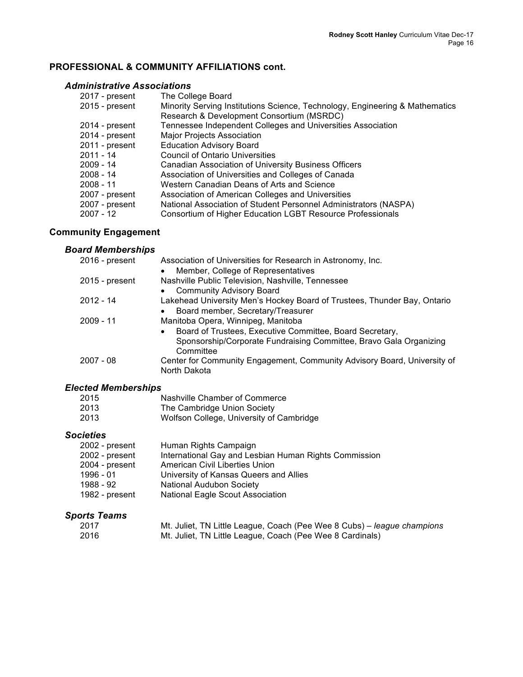# **PROFESSIONAL & COMMUNITY AFFILIATIONS cont.**

## *Administrative Associations*

| 2017 - present | The College Board                                                            |
|----------------|------------------------------------------------------------------------------|
| 2015 - present | Minority Serving Institutions Science, Technology, Engineering & Mathematics |
|                | Research & Development Consortium (MSRDC)                                    |
| 2014 - present | Tennessee Independent Colleges and Universities Association                  |
| 2014 - present | <b>Major Projects Association</b>                                            |
| 2011 - present | <b>Education Advisory Board</b>                                              |
| $2011 - 14$    | <b>Council of Ontario Universities</b>                                       |
| $2009 - 14$    | <b>Canadian Association of University Business Officers</b>                  |
| $2008 - 14$    | Association of Universities and Colleges of Canada                           |
| $2008 - 11$    | Western Canadian Deans of Arts and Science                                   |
| 2007 - present | Association of American Colleges and Universities                            |
| 2007 - present | National Association of Student Personnel Administrators (NASPA)             |
| 2007 - 12      | Consortium of Higher Education LGBT Resource Professionals                   |
|                |                                                                              |

# **Community Engagement**

# *Board Memberships*

| 2016 - present | Association of Universities for Research in Astronomy, Inc.                              |
|----------------|------------------------------------------------------------------------------------------|
|                | Member, College of Representatives<br>$\bullet$                                          |
| 2015 - present | Nashville Public Television, Nashville, Tennessee                                        |
|                | <b>Community Advisory Board</b><br>$\bullet$                                             |
| 2012 - 14      | Lakehead University Men's Hockey Board of Trustees, Thunder Bay, Ontario                 |
|                | Board member, Secretary/Treasurer<br>$\bullet$                                           |
| $2009 - 11$    | Manitoba Opera, Winnipeg, Manitoba                                                       |
|                | Board of Trustees, Executive Committee, Board Secretary,<br>$\bullet$                    |
|                | Sponsorship/Corporate Fundraising Committee, Bravo Gala Organizing<br>Committee          |
| $2007 - 08$    | Center for Community Engagement, Community Advisory Board, University of<br>North Dakota |
|                |                                                                                          |

# *Elected Memberships*

| 2015 | Nashville Chamber of Commerce            |
|------|------------------------------------------|
| 2013 | The Cambridge Union Society              |
| 2013 | Wolfson College, University of Cambridge |

## *Societies*

| 2002 - present | Human Rights Campaign                                 |
|----------------|-------------------------------------------------------|
| 2002 - present | International Gay and Lesbian Human Rights Commission |
| 2004 - present | American Civil Liberties Union                        |
| 1996 - 01      | University of Kansas Queers and Allies                |
| 1988 - 92      | <b>National Audubon Society</b>                       |
| 1982 - present | <b>National Eagle Scout Association</b>               |

## *Sports Teams*

| 2017 | Mt. Juliet, TN Little League, Coach (Pee Wee 8 Cubs) – league champions |
|------|-------------------------------------------------------------------------|
| 2016 | Mt. Juliet, TN Little League, Coach (Pee Wee 8 Cardinals)               |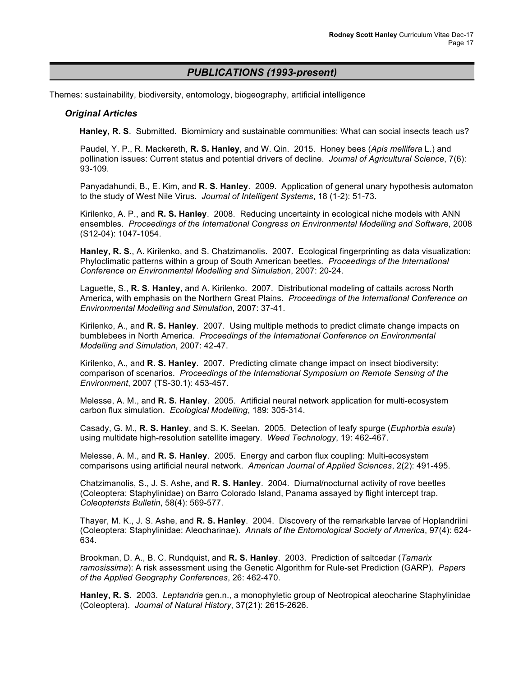## *PUBLICATIONS (1993-present)*

Themes: sustainability, biodiversity, entomology, biogeography, artificial intelligence

#### *Original Articles*

**Hanley, R. S**. Submitted. Biomimicry and sustainable communities: What can social insects teach us?

Paudel, Y. P., R. Mackereth, **R. S. Hanley**, and W. Qin. 2015. Honey bees (*Apis mellifera* L.) and pollination issues: Current status and potential drivers of decline. *Journal of Agricultural Science*, 7(6): 93-109.

Panyadahundi, B., E. Kim, and **R. S. Hanley**. 2009. Application of general unary hypothesis automaton to the study of West Nile Virus. *Journal of Intelligent Systems*, 18 (1-2): 51-73.

Kirilenko, A. P., and **R. S. Hanley**. 2008. Reducing uncertainty in ecological niche models with ANN ensembles. *Proceedings of the International Congress on Environmental Modelling and Software*, 2008 (S12-04): 1047-1054.

**Hanley, R. S.**, A. Kirilenko, and S. Chatzimanolis. 2007. Ecological fingerprinting as data visualization: Phyloclimatic patterns within a group of South American beetles. *Proceedings of the International Conference on Environmental Modelling and Simulation*, 2007: 20-24.

Laguette, S., **R. S. Hanley**, and A. Kirilenko. 2007. Distributional modeling of cattails across North America, with emphasis on the Northern Great Plains. *Proceedings of the International Conference on Environmental Modelling and Simulation*, 2007: 37-41.

Kirilenko, A., and **R. S. Hanley**. 2007. Using multiple methods to predict climate change impacts on bumblebees in North America. *Proceedings of the International Conference on Environmental Modelling and Simulation*, 2007: 42-47.

Kirilenko, A., and **R. S. Hanley**. 2007. Predicting climate change impact on insect biodiversity: comparison of scenarios. *Proceedings of the International Symposium on Remote Sensing of the Environment*, 2007 (TS-30.1): 453-457.

Melesse, A. M., and **R. S. Hanley**. 2005. Artificial neural network application for multi-ecosystem carbon flux simulation. *Ecological Modelling*, 189: 305-314.

Casady, G. M., **R. S. Hanley**, and S. K. Seelan. 2005. Detection of leafy spurge (*Euphorbia esula*) using multidate high-resolution satellite imagery. *Weed Technology*, 19: 462-467.

Melesse, A. M., and **R. S. Hanley**. 2005. Energy and carbon flux coupling: Multi-ecosystem comparisons using artificial neural network. *American Journal of Applied Sciences*, 2(2): 491-495.

Chatzimanolis, S., J. S. Ashe, and **R. S. Hanley**. 2004. Diurnal/nocturnal activity of rove beetles (Coleoptera: Staphylinidae) on Barro Colorado Island, Panama assayed by flight intercept trap. *Coleopterists Bulletin*, 58(4): 569-577.

Thayer, M. K., J. S. Ashe, and **R. S. Hanley**. 2004. Discovery of the remarkable larvae of Hoplandriini (Coleoptera: Staphylinidae: Aleocharinae). *Annals of the Entomological Society of America*, 97(4): 624- 634.

Brookman, D. A., B. C. Rundquist, and **R. S. Hanley**. 2003. Prediction of saltcedar (*Tamarix ramosissima*): A risk assessment using the Genetic Algorithm for Rule-set Prediction (GARP). *Papers of the Applied Geography Conferences*, 26: 462-470.

**Hanley, R. S.** 2003. *Leptandria* gen.n., a monophyletic group of Neotropical aleocharine Staphylinidae (Coleoptera). *Journal of Natural History*, 37(21): 2615-2626.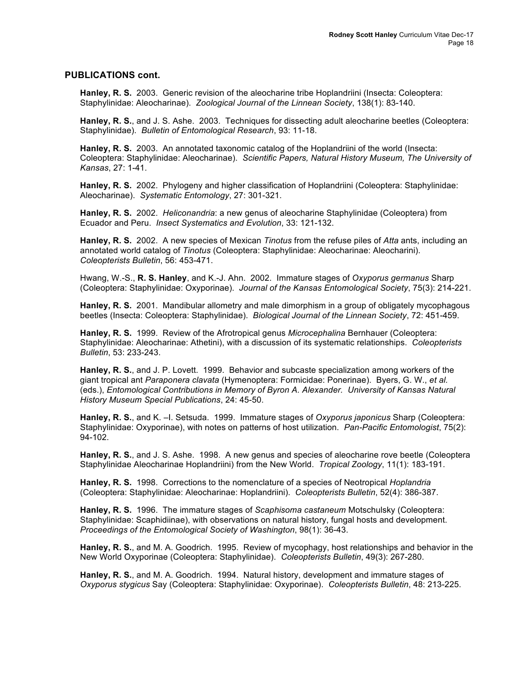## **PUBLICATIONS cont.**

**Hanley, R. S.** 2003. Generic revision of the aleocharine tribe Hoplandriini (Insecta: Coleoptera: Staphylinidae: Aleocharinae). *Zoological Journal of the Linnean Society*, 138(1): 83-140.

**Hanley, R. S.**, and J. S. Ashe. 2003. Techniques for dissecting adult aleocharine beetles (Coleoptera: Staphylinidae). *Bulletin of Entomological Research*, 93: 11-18.

**Hanley, R. S.** 2003. An annotated taxonomic catalog of the Hoplandriini of the world (Insecta: Coleoptera: Staphylinidae: Aleocharinae). *Scientific Papers, Natural History Museum, The University of Kansas*, 27: 1-41.

**Hanley, R. S.** 2002. Phylogeny and higher classification of Hoplandriini (Coleoptera: Staphylinidae: Aleocharinae). *Systematic Entomology*, 27: 301-321.

**Hanley, R. S.** 2002. *Heliconandria*: a new genus of aleocharine Staphylinidae (Coleoptera) from Ecuador and Peru. *Insect Systematics and Evolution*, 33: 121-132.

**Hanley, R. S.** 2002. A new species of Mexican *Tinotus* from the refuse piles of *Atta* ants, including an annotated world catalog of *Tinotus* (Coleoptera: Staphylinidae: Aleocharinae: Aleocharini). *Coleopterists Bulletin*, 56: 453-471.

Hwang, W.-S., **R. S. Hanley**, and K.-J. Ahn. 2002. Immature stages of *Oxyporus germanus* Sharp (Coleoptera: Staphylinidae: Oxyporinae). *Journal of the Kansas Entomological Society*, 75(3): 214-221.

**Hanley, R. S.** 2001. Mandibular allometry and male dimorphism in a group of obligately mycophagous beetles (Insecta: Coleoptera: Staphylinidae). *Biological Journal of the Linnean Society*, 72: 451-459.

**Hanley, R. S.** 1999. Review of the Afrotropical genus *Microcephalina* Bernhauer (Coleoptera: Staphylinidae: Aleocharinae: Athetini), with a discussion of its systematic relationships. *Coleopterists Bulletin*, 53: 233-243.

**Hanley, R. S.**, and J. P. Lovett. 1999. Behavior and subcaste specialization among workers of the giant tropical ant *Paraponera clavata* (Hymenoptera: Formicidae: Ponerinae). Byers, G. W., *et al.* (eds.), *Entomological Contributions in Memory of Byron A. Alexander. University of Kansas Natural History Museum Special Publications*, 24: 45-50.

**Hanley, R. S.**, and K. –I. Setsuda. 1999. Immature stages of *Oxyporus japonicus* Sharp (Coleoptera: Staphylinidae: Oxyporinae), with notes on patterns of host utilization. *Pan-Pacific Entomologist*, 75(2): 94-102.

**Hanley, R. S.**, and J. S. Ashe. 1998. A new genus and species of aleocharine rove beetle (Coleoptera Staphylinidae Aleocharinae Hoplandriini) from the New World. *Tropical Zoology*, 11(1): 183-191.

**Hanley, R. S.** 1998. Corrections to the nomenclature of a species of Neotropical *Hoplandria* (Coleoptera: Staphylinidae: Aleocharinae: Hoplandriini). *Coleopterists Bulletin*, 52(4): 386-387.

**Hanley, R. S.** 1996. The immature stages of *Scaphisoma castaneum* Motschulsky (Coleoptera: Staphylinidae: Scaphidiinae), with observations on natural history, fungal hosts and development. *Proceedings of the Entomological Society of Washington*, 98(1): 36-43.

**Hanley, R. S.**, and M. A. Goodrich. 1995. Review of mycophagy, host relationships and behavior in the New World Oxyporinae (Coleoptera: Staphylinidae). *Coleopterists Bulletin*, 49(3): 267-280.

**Hanley, R. S.**, and M. A. Goodrich. 1994. Natural history, development and immature stages of *Oxyporus stygicus* Say (Coleoptera: Staphylinidae: Oxyporinae). *Coleopterists Bulletin*, 48: 213-225.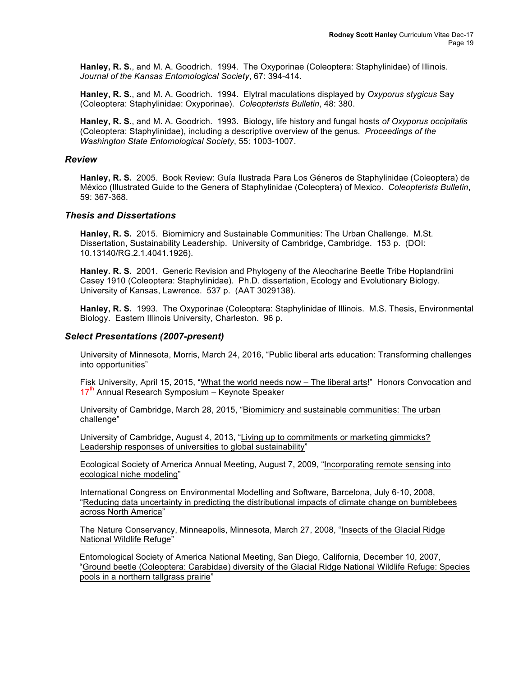**Hanley, R. S.**, and M. A. Goodrich. 1994. The Oxyporinae (Coleoptera: Staphylinidae) of Illinois. *Journal of the Kansas Entomological Society*, 67: 394-414.

**Hanley, R. S.**, and M. A. Goodrich. 1994. Elytral maculations displayed by *Oxyporus stygicus* Say (Coleoptera: Staphylinidae: Oxyporinae). *Coleopterists Bulletin*, 48: 380.

**Hanley, R. S.**, and M. A. Goodrich. 1993. Biology, life history and fungal hosts *of Oxyporus occipitalis* (Coleoptera: Staphylinidae), including a descriptive overview of the genus. *Proceedings of the Washington State Entomological Society*, 55: 1003-1007.

#### *Review*

**Hanley, R. S.** 2005. Book Review: Guía Ilustrada Para Los Géneros de Staphylinidae (Coleoptera) de México (Illustrated Guide to the Genera of Staphylinidae (Coleoptera) of Mexico. *Coleopterists Bulletin*, 59: 367-368.

#### *Thesis and Dissertations*

**Hanley, R. S.** 2015. Biomimicry and Sustainable Communities: The Urban Challenge. M.St. Dissertation, Sustainability Leadership. University of Cambridge, Cambridge. 153 p. (DOI: 10.13140/RG.2.1.4041.1926).

**Hanley. R. S.** 2001. Generic Revision and Phylogeny of the Aleocharine Beetle Tribe Hoplandriini Casey 1910 (Coleoptera: Staphylinidae). Ph.D. dissertation, Ecology and Evolutionary Biology. University of Kansas, Lawrence. 537 p. (AAT 3029138).

**Hanley, R. S.** 1993. The Oxyporinae (Coleoptera: Staphylinidae of Illinois. M.S. Thesis, Environmental Biology. Eastern Illinois University, Charleston. 96 p.

#### *Select Presentations (2007-present)*

University of Minnesota, Morris, March 24, 2016, "Public liberal arts education: Transforming challenges into opportunities"

Fisk University, April 15, 2015, "What the world needs now – The liberal arts!" Honors Convocation and  $17<sup>th</sup>$  Annual Research Symposium – Keynote Speaker

University of Cambridge, March 28, 2015, "Biomimicry and sustainable communities: The urban challenge"

University of Cambridge, August 4, 2013, "Living up to commitments or marketing gimmicks? Leadership responses of universities to global sustainability"

Ecological Society of America Annual Meeting, August 7, 2009, "Incorporating remote sensing into ecological niche modeling"

International Congress on Environmental Modelling and Software, Barcelona, July 6-10, 2008, "Reducing data uncertainty in predicting the distributional impacts of climate change on bumblebees across North America"

The Nature Conservancy, Minneapolis, Minnesota, March 27, 2008, "Insects of the Glacial Ridge National Wildlife Refuge"

Entomological Society of America National Meeting, San Diego, California, December 10, 2007, "Ground beetle (Coleoptera: Carabidae) diversity of the Glacial Ridge National Wildlife Refuge: Species pools in a northern tallgrass prairie"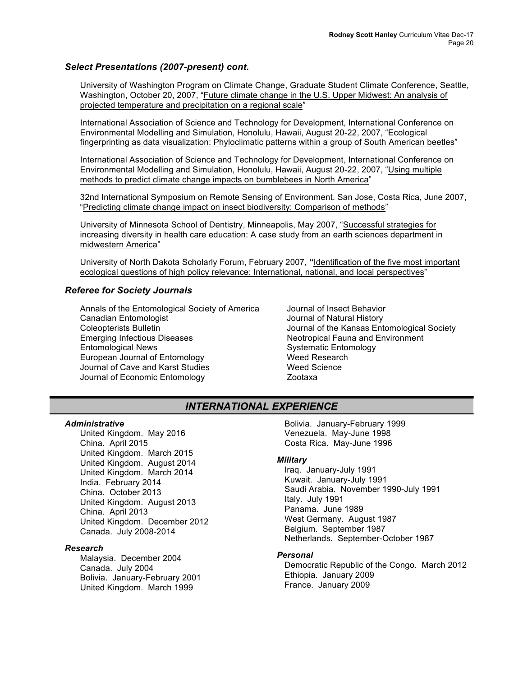## *Select Presentations (2007-present) cont.*

University of Washington Program on Climate Change, Graduate Student Climate Conference, Seattle, Washington, October 20, 2007, "Future climate change in the U.S. Upper Midwest: An analysis of projected temperature and precipitation on a regional scale"

International Association of Science and Technology for Development, International Conference on Environmental Modelling and Simulation, Honolulu, Hawaii, August 20-22, 2007, "Ecological fingerprinting as data visualization: Phyloclimatic patterns within a group of South American beetles"

International Association of Science and Technology for Development, International Conference on Environmental Modelling and Simulation, Honolulu, Hawaii, August 20-22, 2007, "Using multiple methods to predict climate change impacts on bumblebees in North America"

32nd International Symposium on Remote Sensing of Environment. San Jose, Costa Rica, June 2007, "Predicting climate change impact on insect biodiversity: Comparison of methods"

University of Minnesota School of Dentistry, Minneapolis, May 2007, "Successful strategies for increasing diversity in health care education: A case study from an earth sciences department in midwestern America"

University of North Dakota Scholarly Forum, February 2007, **"**Identification of the five most important ecological questions of high policy relevance: International, national, and local perspectives"

## *Referee for Society Journals*

Annals of the Entomological Society of America Canadian Entomologist Coleopterists Bulletin Emerging Infectious Diseases Entomological News European Journal of Entomology Journal of Cave and Karst Studies Journal of Economic Entomology

Journal of Insect Behavior Journal of Natural History Journal of the Kansas Entomological Society Neotropical Fauna and Environment Systematic Entomology Weed Research Weed Science Zootaxa

# *INTERNATIONAL EXPERIENCE*

## *Administrative*

United Kingdom. May 2016 China. April 2015 United Kingdom. March 2015 United Kingdom. August 2014 United Kingdom. March 2014 India. February 2014 China. October 2013 United Kingdom. August 2013 China. April 2013 United Kingdom. December 2012 Canada. July 2008-2014

#### *Research*

Malaysia. December 2004 Canada. July 2004 Bolivia. January-February 2001 United Kingdom. March 1999

Bolivia. January-February 1999 Venezuela. May-June 1998 Costa Rica. May-June 1996

#### *Military*

Iraq. January-July 1991 Kuwait. January-July 1991 Saudi Arabia. November 1990-July 1991 Italy. July 1991 Panama. June 1989 West Germany. August 1987 Belgium. September 1987 Netherlands. September-October 1987

#### *Personal*

Democratic Republic of the Congo. March 2012 Ethiopia. January 2009 France. January 2009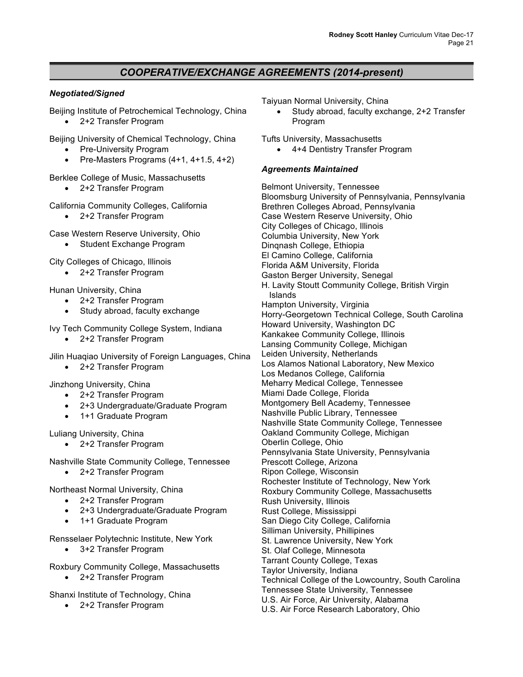# *COOPERATIVE/EXCHANGE AGREEMENTS (2014-present)*

## *Negotiated/Signed*

Beijing Institute of Petrochemical Technology, China • 2+2 Transfer Program

- Beijing University of Chemical Technology, China
	- Pre-University Program
	- Pre-Masters Programs (4+1, 4+1.5, 4+2)

## Berklee College of Music, Massachusetts

• 2+2 Transfer Program

## California Community Colleges, California

• 2+2 Transfer Program

Case Western Reserve University, Ohio

• Student Exchange Program

City Colleges of Chicago, Illinois

• 2+2 Transfer Program

Hunan University, China

- 2+2 Transfer Program
- Study abroad, faculty exchange

Ivy Tech Community College System, Indiana

• 2+2 Transfer Program

Jilin Huaqiao University of Foreign Languages, China

• 2+2 Transfer Program

Jinzhong University, China

- 2+2 Transfer Program
- 2+3 Undergraduate/Graduate Program
- 1+1 Graduate Program

Luliang University, China

• 2+2 Transfer Program

Nashville State Community College, Tennessee

• 2+2 Transfer Program

Northeast Normal University, China

- 2+2 Transfer Program
- 2+3 Undergraduate/Graduate Program
- 1+1 Graduate Program

Rensselaer Polytechnic Institute, New York

• 3+2 Transfer Program

Roxbury Community College, Massachusetts

• 2+2 Transfer Program

Shanxi Institute of Technology, China

• 2+2 Transfer Program

Taiyuan Normal University, China

• Study abroad, faculty exchange, 2+2 Transfer Program

Tufts University, Massachusetts

• 4+4 Dentistry Transfer Program

## *Agreements Maintained*

Belmont University, Tennessee Bloomsburg University of Pennsylvania, Pennsylvania Brethren Colleges Abroad, Pennsylvania Case Western Reserve University, Ohio City Colleges of Chicago, Illinois Columbia University, New York Dinqnash College, Ethiopia El Camino College, California Florida A&M University, Florida Gaston Berger University, Senegal H. Lavity Stoutt Community College, British Virgin Islands Hampton University, Virginia Horry-Georgetown Technical College, South Carolina Howard University, Washington DC Kankakee Community College, Illinois Lansing Community College, Michigan Leiden University, Netherlands Los Alamos National Laboratory, New Mexico Los Medanos College, California Meharry Medical College, Tennessee Miami Dade College, Florida Montgomery Bell Academy, Tennessee Nashville Public Library, Tennessee Nashville State Community College, Tennessee Oakland Community College, Michigan Oberlin College, Ohio Pennsylvania State University, Pennsylvania Prescott College, Arizona Ripon College, Wisconsin Rochester Institute of Technology, New York Roxbury Community College, Massachusetts Rush University, Illinois Rust College, Mississippi San Diego City College, California Silliman University, Phillipines St. Lawrence University, New York St. Olaf College, Minnesota Tarrant County College, Texas Taylor University, Indiana Technical College of the Lowcountry, South Carolina Tennessee State University, Tennessee U.S. Air Force, Air University, Alabama U.S. Air Force Research Laboratory, Ohio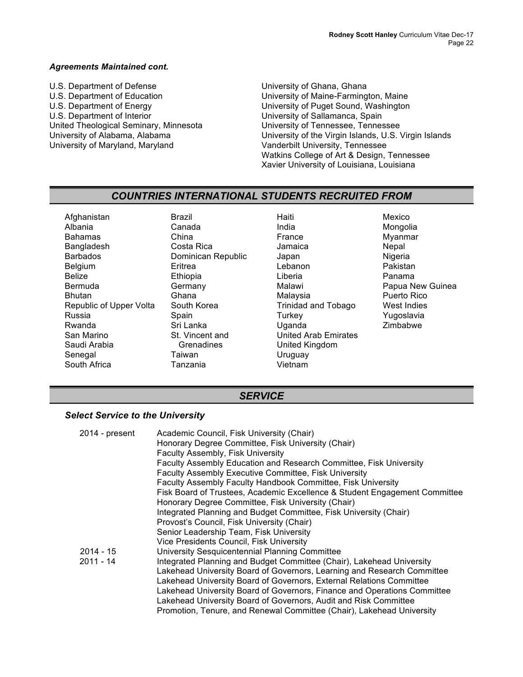#### *Agreements Maintained cont.*

U.S. Department of Defense U.S. Department of Education U.S. Department of Energy U.S. Department of Interior United Theological Seminary, Minnesota University of Alabama, Alabama University of Maryland, Maryland

University of Ghana, Ghana University of Maine-Farmington, Maine University of Puget Sound, Washington University of Sallamanca, Spain University of Tennessee, Tennessee University of the Virgin Islands, U.S. Virgin Islands Vanderbilt University, Tennessee Watkins College of Art & Design, Tennessee Xavier University of Louisiana, Louisiana

## *COUNTRIES INTERNATIONAL STUDENTS RECRUITED FROM*

Afghanistan Albania Bahamas **Bangladesh** Barbados **Belgium** Belize Bermuda Bhutan Republic of Upper Volta Russia Rwanda San Marino Saudi Arabia **Senegal** South Africa

Brazil Canada China Costa Rica Dominican Republic **Eritrea** Ethiopia **Germany** Ghana South Korea Spain Sri Lanka St. Vincent and Grenadines Taiwan Tanzania

Haiti India France Jamaica Japan Lebanon Liberia Malawi Malaysia Trinidad and Tobago **Turkey** Uganda United Arab Emirates United Kingdom Uruguay Vietnam

Mexico Mongolia Myanmar **Nepal** Nigeria Pakistan Panama Papua New Guinea Puerto Rico West Indies Yugoslavia Zimbabwe

## *SERVICE*

## *Select Service to the University*

| 2014 - present | Academic Council, Fisk University (Chair)                                  |
|----------------|----------------------------------------------------------------------------|
|                | Honorary Degree Committee, Fisk University (Chair)                         |
|                | <b>Faculty Assembly, Fisk University</b>                                   |
|                | Faculty Assembly Education and Research Committee, Fisk University         |
|                | <b>Faculty Assembly Executive Committee, Fisk University</b>               |
|                | Faculty Assembly Faculty Handbook Committee, Fisk University               |
|                | Fisk Board of Trustees, Academic Excellence & Student Engagement Committee |
|                | Honorary Degree Committee, Fisk University (Chair)                         |
|                | Integrated Planning and Budget Committee, Fisk University (Chair)          |
|                | Provosť's Council, Fisk University (Chair)                                 |
|                | Senior Leadership Team, Fisk University                                    |
|                | Vice Presidents Council, Fisk University                                   |
| $2014 - 15$    | University Sesquicentennial Planning Committee                             |
| $2011 - 14$    | Integrated Planning and Budget Committee (Chair), Lakehead University      |
|                | Lakehead University Board of Governors, Learning and Research Committee    |
|                | Lakehead University Board of Governors, External Relations Committee       |
|                | Lakehead University Board of Governors, Finance and Operations Committee   |
|                | Lakehead University Board of Governors, Audit and Risk Committee           |
|                | Promotion, Tenure, and Renewal Committee (Chair), Lakehead University      |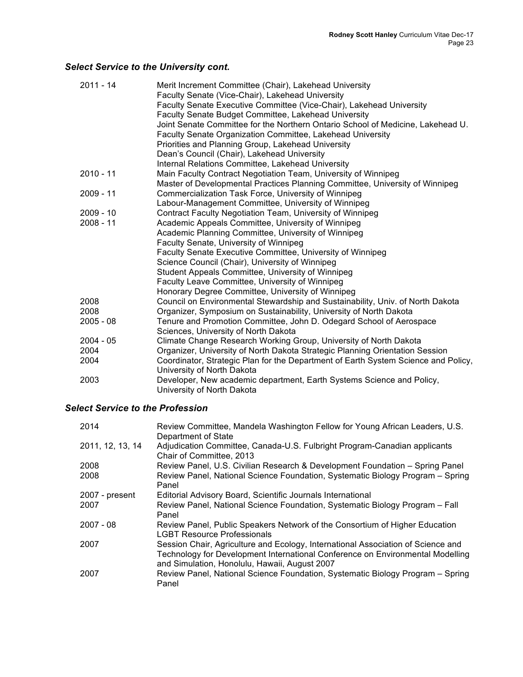# *Select Service to the University cont.*

| $2011 - 14$ | Merit Increment Committee (Chair), Lakehead University                             |
|-------------|------------------------------------------------------------------------------------|
|             | Faculty Senate (Vice-Chair), Lakehead University                                   |
|             | Faculty Senate Executive Committee (Vice-Chair), Lakehead University               |
|             | Faculty Senate Budget Committee, Lakehead University                               |
|             | Joint Senate Committee for the Northern Ontario School of Medicine, Lakehead U.    |
|             | Faculty Senate Organization Committee, Lakehead University                         |
|             | Priorities and Planning Group, Lakehead University                                 |
|             | Dean's Council (Chair), Lakehead University                                        |
|             | Internal Relations Committee, Lakehead University                                  |
| $2010 - 11$ | Main Faculty Contract Negotiation Team, University of Winnipeg                     |
|             | Master of Developmental Practices Planning Committee, University of Winnipeg       |
| $2009 - 11$ | Commercialization Task Force, University of Winnipeg                               |
|             | Labour-Management Committee, University of Winnipeg                                |
| $2009 - 10$ | Contract Faculty Negotiation Team, University of Winnipeg                          |
| 2008 - 11   | Academic Appeals Committee, University of Winnipeg                                 |
|             | Academic Planning Committee, University of Winnipeg                                |
|             | Faculty Senate, University of Winnipeg                                             |
|             | Faculty Senate Executive Committee, University of Winnipeg                         |
|             | Science Council (Chair), University of Winnipeg                                    |
|             | Student Appeals Committee, University of Winnipeg                                  |
|             | Faculty Leave Committee, University of Winnipeg                                    |
|             | Honorary Degree Committee, University of Winnipeg                                  |
| 2008        | Council on Environmental Stewardship and Sustainability, Univ. of North Dakota     |
| 2008        | Organizer, Symposium on Sustainability, University of North Dakota                 |
| $2005 - 08$ | Tenure and Promotion Committee, John D. Odegard School of Aerospace                |
|             | Sciences, University of North Dakota                                               |
| 2004 - 05   | Climate Change Research Working Group, University of North Dakota                  |
| 2004        | Organizer, University of North Dakota Strategic Planning Orientation Session       |
| 2004        | Coordinator, Strategic Plan for the Department of Earth System Science and Policy, |
|             | University of North Dakota                                                         |
| 2003        | Developer, New academic department, Earth Systems Science and Policy,              |
|             | University of North Dakota                                                         |

# *Select Service to the Profession*

| 2014             | Review Committee, Mandela Washington Fellow for Young African Leaders, U.S.<br>Department of State                                                                                                                  |
|------------------|---------------------------------------------------------------------------------------------------------------------------------------------------------------------------------------------------------------------|
| 2011, 12, 13, 14 | Adjudication Committee, Canada-U.S. Fulbright Program-Canadian applicants<br>Chair of Committee, 2013                                                                                                               |
| 2008             | Review Panel, U.S. Civilian Research & Development Foundation - Spring Panel                                                                                                                                        |
| 2008             | Review Panel, National Science Foundation, Systematic Biology Program - Spring<br>Panel                                                                                                                             |
| 2007 - present   | Editorial Advisory Board, Scientific Journals International                                                                                                                                                         |
| 2007             | Review Panel, National Science Foundation, Systematic Biology Program - Fall<br>Panel                                                                                                                               |
| $2007 - 08$      | Review Panel, Public Speakers Network of the Consortium of Higher Education<br><b>LGBT Resource Professionals</b>                                                                                                   |
| 2007             | Session Chair, Agriculture and Ecology, International Association of Science and<br>Technology for Development International Conference on Environmental Modelling<br>and Simulation, Honolulu, Hawaii, August 2007 |
| 2007             | Review Panel, National Science Foundation, Systematic Biology Program - Spring<br>Panel                                                                                                                             |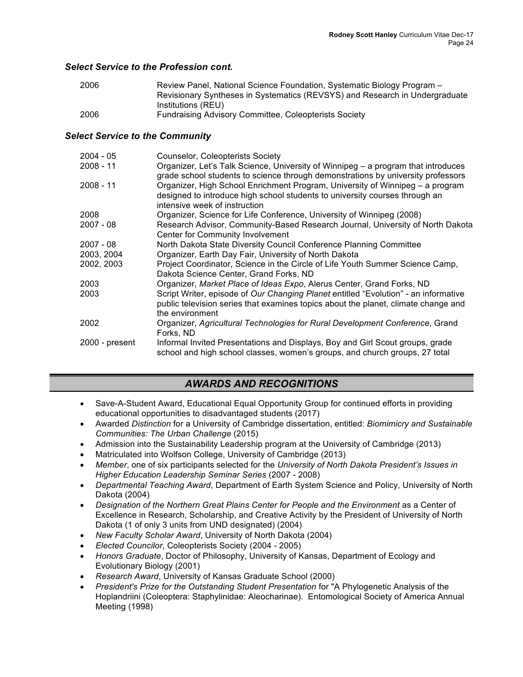## *Select Service to the Profession cont.*

| 2006 | Review Panel, National Science Foundation, Systematic Biology Program -     |
|------|-----------------------------------------------------------------------------|
|      | Revisionary Syntheses in Systematics (REVSYS) and Research in Undergraduate |
|      | Institutions (REU)                                                          |
| 2006 | <b>Fundraising Advisory Committee, Coleopterists Society</b>                |

## *Select Service to the Community*

| $2004 - 05$    | <b>Counselor, Coleopterists Society</b>                                                                                                                                                       |
|----------------|-----------------------------------------------------------------------------------------------------------------------------------------------------------------------------------------------|
| $2008 - 11$    | Organizer, Let's Talk Science, University of Winnipeg – a program that introduces<br>grade school students to science through demonstrations by university professors                         |
| $2008 - 11$    | Organizer, High School Enrichment Program, University of Winnipeg – a program<br>designed to introduce high school students to university courses through an<br>intensive week of instruction |
| 2008           | Organizer, Science for Life Conference, University of Winnipeg (2008)                                                                                                                         |
| $2007 - 08$    | Research Advisor, Community-Based Research Journal, University of North Dakota<br>Center for Community Involvement                                                                            |
| $2007 - 08$    | North Dakota State Diversity Council Conference Planning Committee                                                                                                                            |
| 2003, 2004     | Organizer, Earth Day Fair, University of North Dakota                                                                                                                                         |
| 2002, 2003     | Project Coordinator, Science in the Circle of Life Youth Summer Science Camp,<br>Dakota Science Center, Grand Forks, ND                                                                       |
| 2003           | Organizer, Market Place of Ideas Expo, Alerus Center, Grand Forks, ND                                                                                                                         |
| 2003           | Script Writer, episode of Our Changing Planet entitled "Evolution" - an informative<br>public television series that examines topics about the planet, climate change and<br>the environment  |
| 2002           | Organizer, Agricultural Technologies for Rural Development Conference, Grand<br>Forks, ND                                                                                                     |
| 2000 - present | Informal Invited Presentations and Displays, Boy and Girl Scout groups, grade<br>school and high school classes, women's groups, and church groups, 27 total                                  |

# *AWARDS AND RECOGNITIONS*

- Save-A-Student Award, Educational Equal Opportunity Group for continued efforts in providing educational opportunities to disadvantaged students (2017)
- Awarded *Distinction* for a University of Cambridge dissertation, entitled: *Biomimicry and Sustainable Communities: The Urban Challenge* (2015)
- Admission into the Sustainability Leadership program at the University of Cambridge (2013)
- Matriculated into Wolfson College, University of Cambridge (2013)
- *Member*, one of six participants selected for the *University of North Dakota President's Issues in Higher Education Leadership Seminar Series* (2007 - 2008)
- *Departmental Teaching Award*, Department of Earth System Science and Policy, University of North Dakota (2004)
- *Designation of the Northern Great Plains Center for People and the Environment* as a Center of Excellence in Research, Scholarship, and Creative Activity by the President of University of North Dakota (1 of only 3 units from UND designated) (2004)
- *New Faculty Scholar Award*, University of North Dakota (2004)
- *Elected Councilor*, Coleopterists Society (2004 2005)
- *Honors Graduate*, Doctor of Philosophy, University of Kansas, Department of Ecology and Evolutionary Biology (2001)
- *Research Award*, University of Kansas Graduate School (2000)
- *President's Prize for the Outstanding Student Presentation* for "A Phylogenetic Analysis of the Hoplandriini (Coleoptera: Staphylinidae: Aleocharinae). Entomological Society of America Annual Meeting (1998)